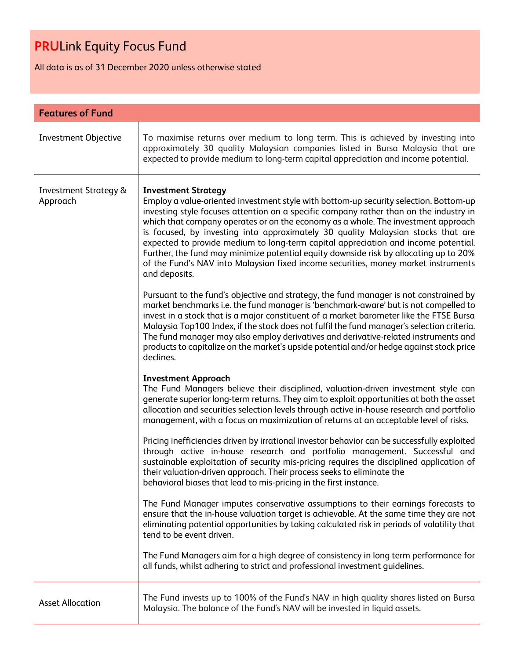All data is as of 31 December 2020 unless otherwise stated

| <b>Features of Fund</b>                      |                                                                                                                                                                                                                                                                                                                                                                                                                                                                                                                                                                                                                                                                              |  |
|----------------------------------------------|------------------------------------------------------------------------------------------------------------------------------------------------------------------------------------------------------------------------------------------------------------------------------------------------------------------------------------------------------------------------------------------------------------------------------------------------------------------------------------------------------------------------------------------------------------------------------------------------------------------------------------------------------------------------------|--|
| Investment Objective                         | To maximise returns over medium to long term. This is achieved by investing into<br>approximately 30 quality Malaysian companies listed in Bursa Malaysia that are<br>expected to provide medium to long-term capital appreciation and income potential.                                                                                                                                                                                                                                                                                                                                                                                                                     |  |
| <b>Investment Strategy &amp;</b><br>Approach | <b>Investment Strategy</b><br>Employ a value-oriented investment style with bottom-up security selection. Bottom-up<br>investing style focuses attention on a specific company rather than on the industry in<br>which that company operates or on the economy as a whole. The investment approach<br>is focused, by investing into approximately 30 quality Malaysian stocks that are<br>expected to provide medium to long-term capital appreciation and income potential.<br>Further, the fund may minimize potential equity downside risk by allocating up to 20%<br>of the Fund's NAV into Malaysian fixed income securities, money market instruments<br>and deposits. |  |
|                                              | Pursuant to the fund's objective and strategy, the fund manager is not constrained by<br>market benchmarks i.e. the fund manager is 'benchmark-aware' but is not compelled to<br>invest in a stock that is a major constituent of a market barometer like the FTSE Bursa<br>Malaysia Top100 Index, if the stock does not fulfil the fund manager's selection criteria.<br>The fund manager may also employ derivatives and derivative-related instruments and<br>products to capitalize on the market's upside potential and/or hedge against stock price<br>declines.                                                                                                       |  |
|                                              | <b>Investment Approach</b><br>The Fund Managers believe their disciplined, valuation-driven investment style can<br>generate superior long-term returns. They aim to exploit opportunities at both the asset<br>allocation and securities selection levels through active in-house research and portfolio<br>management, with a focus on maximization of returns at an acceptable level of risks.                                                                                                                                                                                                                                                                            |  |
|                                              | Pricing inefficiencies driven by irrational investor behavior can be successfully exploited<br>through active in-house research and portfolio management. Successful and<br>sustainable exploitation of security mis-pricing requires the disciplined application of<br>their valuation-driven approach. Their process seeks to eliminate the<br>behavioral biases that lead to mis-pricing in the first instance.                                                                                                                                                                                                                                                           |  |
|                                              | The Fund Manager imputes conservative assumptions to their earnings forecasts to<br>ensure that the in-house valuation target is achievable. At the same time they are not<br>eliminating potential opportunities by taking calculated risk in periods of volatility that<br>tend to be event driven.                                                                                                                                                                                                                                                                                                                                                                        |  |
|                                              | The Fund Managers aim for a high degree of consistency in long term performance for<br>all funds, whilst adhering to strict and professional investment guidelines.                                                                                                                                                                                                                                                                                                                                                                                                                                                                                                          |  |
| <b>Asset Allocation</b>                      | The Fund invests up to 100% of the Fund's NAV in high quality shares listed on Bursa<br>Malaysia. The balance of the Fund's NAV will be invested in liquid assets.                                                                                                                                                                                                                                                                                                                                                                                                                                                                                                           |  |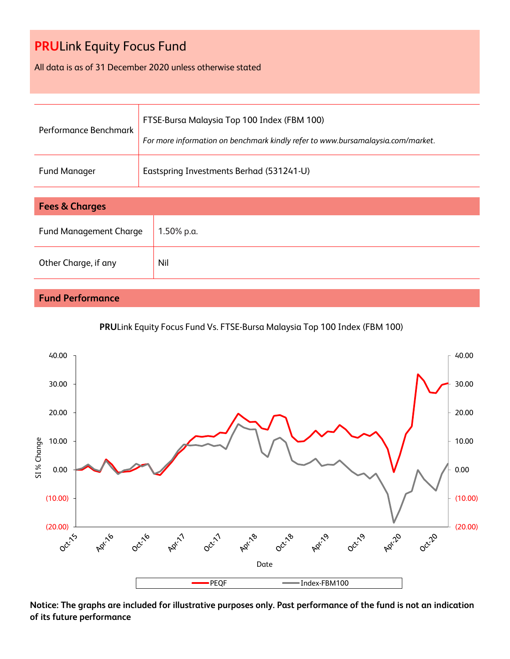All data is as of 31 December 2020 unless otherwise stated

| Performance Benchmark | FTSE-Bursa Malaysia Top 100 Index (FBM 100)<br>For more information on benchmark kindly refer to www.bursamalaysia.com/market. |
|-----------------------|--------------------------------------------------------------------------------------------------------------------------------|
| Fund Manager          | Eastspring Investments Berhad (531241-U)                                                                                       |

| <b>Fees &amp; Charges</b>     |            |  |
|-------------------------------|------------|--|
| <b>Fund Management Charge</b> | 1.50% p.a. |  |
| Other Charge, if any          | Nil        |  |

### **Fund Performance**





**Notice: The graphs are included for illustrative purposes only. Past performance of the fund is not an indication of its future performance**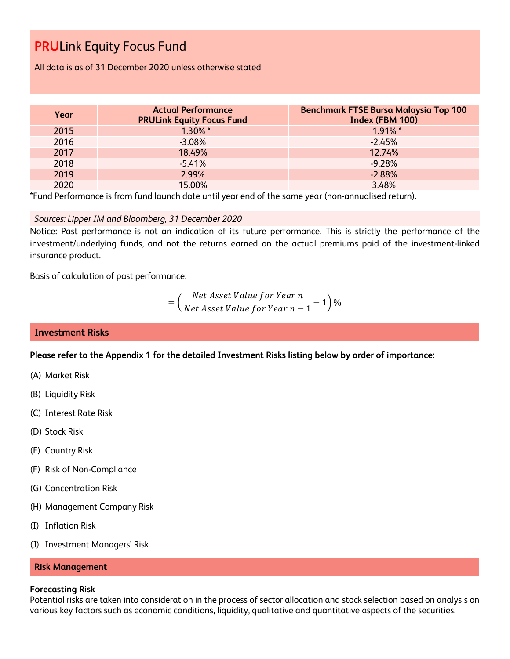All data is as of 31 December 2020 unless otherwise stated

| Year | <b>Actual Performance</b><br><b>PRULink Equity Focus Fund</b> | <b>Benchmark FTSE Bursa Malaysia Top 100</b><br>Index (FBM 100) |
|------|---------------------------------------------------------------|-----------------------------------------------------------------|
| 2015 | $1.30\%$ *                                                    | $1.91\%$ *                                                      |
| 2016 | $-3.08\%$                                                     | $-2.45%$                                                        |
| 2017 | 18.49%                                                        | 12.74%                                                          |
| 2018 | $-5.41%$                                                      | $-9.28%$                                                        |
| 2019 | 2.99%                                                         | $-2.88%$                                                        |
| 2020 | 15.00%                                                        | 3.48%                                                           |

\*Fund Performance is from fund launch date until year end of the same year (non-annualised return).

*Sources: Lipper IM and Bloomberg, 31 December 2020*

Notice: Past performance is not an indication of its future performance. This is strictly the performance of the investment/underlying funds, and not the returns earned on the actual premiums paid of the investment-linked insurance product.

Basis of calculation of past performance:

= ( Net Asset Value for Year n  $\frac{1}{\sqrt{1-\frac{1}{n}}}$  1)%<br>Net Asset Value for Year  $n-1$ 

### **Investment Risks**

**Please refer to the Appendix 1 for the detailed Investment Risks listing below by order of importance:**

- (A) Market Risk
- (B) Liquidity Risk
- (C) Interest Rate Risk
- (D) Stock Risk
- (E) Country Risk
- (F) Risk of Non-Compliance
- (G) Concentration Risk
- (H) Management Company Risk
- (I) Inflation Risk
- (J) Investment Managers' Risk

#### **Risk Management**

#### **Forecasting Risk**

Potential risks are taken into consideration in the process of sector allocation and stock selection based on analysis on various key factors such as economic conditions, liquidity, qualitative and quantitative aspects of the securities.